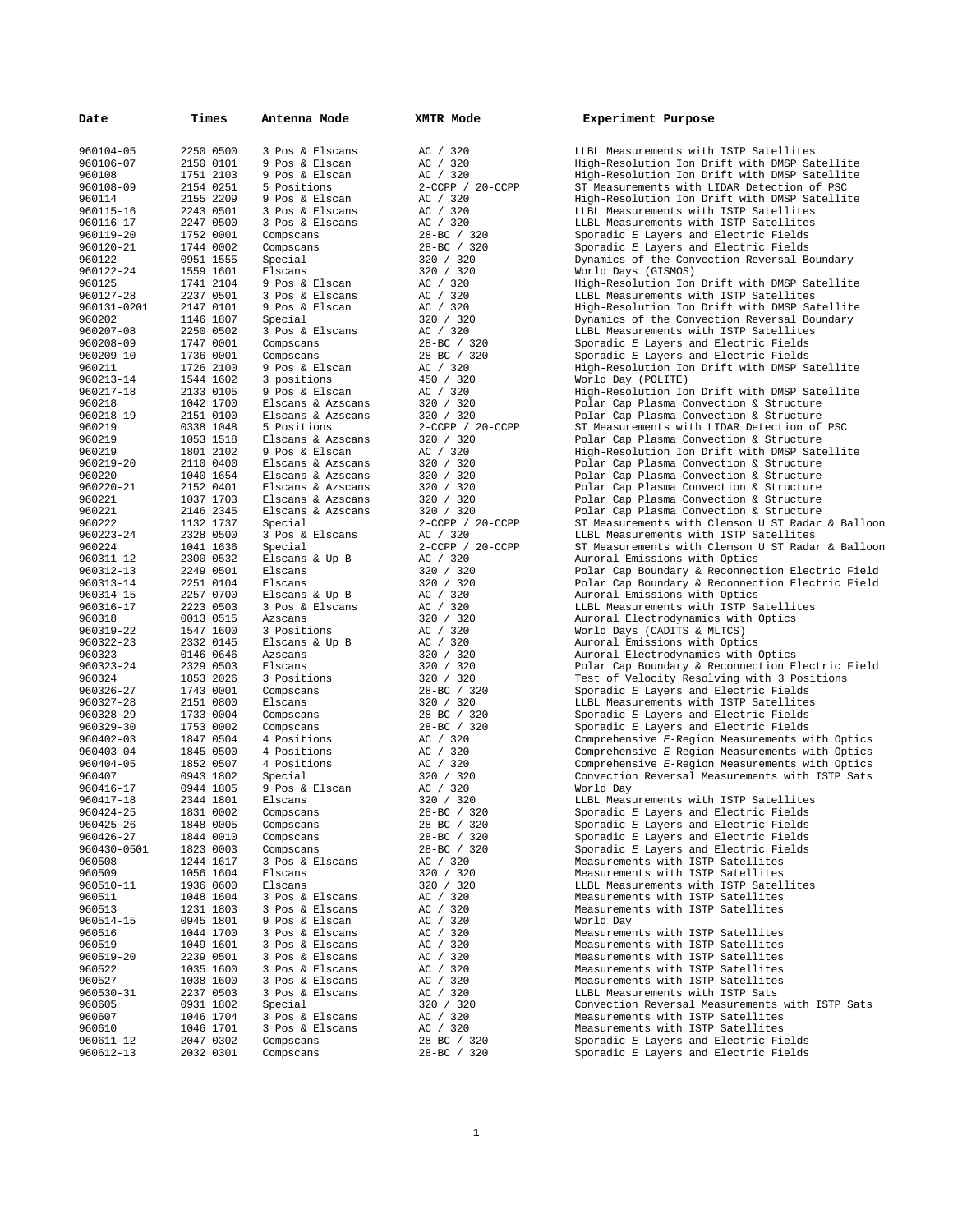| Date             | Times                  | Antenna Mode                 | XMTR Mode              | Experiment Purpose                               |
|------------------|------------------------|------------------------------|------------------------|--------------------------------------------------|
| 960104-05        | 2250 0500              | 3 Pos & Elscans              | AC / 320               | LLBL Measurements with                           |
| 960106-07        | 2150 0101              | 9 Pos & Elscan               | AC / 320               | High-Resolution Ion Dr                           |
| 960108           | 1751 2103              | 9 Pos & Elscan               | AC / 320               | High-Resolution Ion Dr                           |
| 960108-09        | 2154 0251              | 5 Positions                  | $2$ -CCPP / $20$ -CCPP | ST Measurements with L                           |
| 960114           | 2155 2209              | 9 Pos & Elscan               | AC / 320               | High-Resolution Ion Dr                           |
| 960115-16        | 2243 0501              | 3 Pos & Elscans              | AC / 320               | LLBL Measurements with                           |
| 960116-17        | 2247 0500              | 3 Pos & Elscans              | AC / 320               | LLBL Measurements with                           |
| 960119-20        | 1752 0001              | Compscans                    | 28-BC / 320            | Sporadic E Layers and                            |
| 960120-21        | 1744 0002              | Compscans                    | 28-BC / 320            | Sporadic E Layers and                            |
| 960122           | 0951 1555              | Special                      | 320 / 320              | Dynamics of the Convec                           |
| 960122-24        | 1559 1601              | Elscans                      | 320 / 320              | World Days (GISMOS)                              |
| 960125           | 1741 2104              | 9 Pos & Elscan               | AC / 320               | High-Resolution Ion Dr                           |
| 960127-28        | 2237 0501              | 3 Pos & Elscans              | AC / 320               | LLBL Measurements with                           |
| 960131-0201      | 2147 0101              | 9 Pos & Elscan               | AC / 320               | High-Resolution Ion Dr                           |
| 960202           | 1146 1807              | Special                      | 320 / 320              | Dynamics of the Convec                           |
| 960207-08        | 2250 0502              | 3 Pos & Elscans              | AC / 320               | LLBL Measurements with                           |
| 960208-09        | 1747 0001              | Compscans                    | $28 - BC$ / 320        | Sporadic E Layers and                            |
| 960209-10        | 1736 0001              | Compscans                    | 28-BC / 320            | Sporadic E Layers and                            |
| 960211           | 1726 2100              | 9 Pos & Elscan               | AC / 320               | High-Resolution Ion Dr                           |
| 960213-14        | 1544 1602              | 3 positions                  | 450 / 320              | World Day (POLITE)                               |
| 960217-18        | 2133 0105              | 9 Pos & Elscan               | AC / 320               | High-Resolution Ion Dr                           |
| 960218           | 1042 1700              | Elscans & Azscans            | 320 / 320              | Polar Cap Plasma Conve                           |
| 960218-19        | 2151 0100              | Elscans & Azscans            | 320 / 320              | Polar Cap Plasma Conve                           |
| 960219           | 0338 1048              | 5 Positions                  | $2$ -CCPP / $20$ -CCPP | ST Measurements with L                           |
| 960219           | 1053 1518              | Elscans & Azscans            | 320 / 320              | Polar Cap Plasma Conve                           |
| 960219           | 1801 2102              | 9 Pos & Elscan               | AC / 320               | High-Resolution Ion Dr                           |
| 960219-20        | 2110 0400              | Elscans & Azscans            | 320 / 320              | Polar Cap Plasma Conve                           |
| 960220           | 1040 1654<br>2152 0401 | Elscans & Azscans            | 320 / 320              | Polar Cap Plasma Conve                           |
| 960220-21        |                        | Elscans & Azscans            | 320 / 320              | Polar Cap Plasma Conve                           |
| 960221           | 1037 1703              | Elscans & Azscans            | 320 / 320<br>320 / 320 | Polar Cap Plasma Conve<br>Polar Cap Plasma Conve |
| 960221<br>960222 | 2146 2345<br>1132 1737 | Elscans & Azscans<br>Special | $2$ -CCPP / $20$ -CCPP | ST Measurements with C                           |
| 960223-24        | 2328 0500              | 3 Pos & Elscans              | AC / 320               | LLBL Measurements with                           |
| 960224           | 1041 1636              | Special                      | 2-CCPP / 20-CCPP       | ST Measurements with C                           |
| 960311-12        | 2300 0532              | Elscans & Up B               | AC / 320               | Auroral Emissions with                           |
| 960312-13        | 2249 0501              | Elscans                      | 320 / 320              | Polar Cap Boundary & R                           |
| 960313-14        | 2251 0104              | Elscans                      | 320 / 320              | Polar Cap Boundary & R                           |
| 960314-15        | 2257 0700              | Elscans & Up B               | AC / 320               | Auroral Emissions with                           |
| 960316-17        | 2223 0503              | 3 Pos & Elscans              | AC / 320               | LLBL Measurements with                           |
| 960318           | 0013 0515              | Azscans                      | 320 / 320              | Auroral Electrodynamic                           |
| 960319-22        | 1547 1600              | 3 Positions                  | AC / 320               | World Days (CADITS & M                           |
| 960322-23        | 2332 0145              | Elscans & Up B               | AC / 320               | Auroral Emissions with                           |
| 960323           | 0146 0646              | Azscans                      | 320 / 320              | Auroral Electrodynamic                           |
| 960323-24        | 2329 0503              | Elscans                      | 320 / 320              | Polar Cap Boundary & R                           |
| 960324           | 1853 2026              | 3 Positions                  | 320 / 320              | Test of Velocity Resol                           |
| 960326-27        | 1743 0001              | Compscans                    | 28-BC / 320            | Sporadic E Layers and                            |
| 960327-28        | 2151 0800              | Elscans                      | 320 / 320              | LLBL Measurements with                           |
| 960328-29        | 1733 0004              | Compscans                    | 28-BC / 320            | Sporadic E Layers and                            |
| 960329-30        | 1753 0002              | Compscans                    | 28-BC / 320            | Sporadic E Layers and                            |
| 960402-03        | 1847 0504              | 4 Positions                  | AC / 320               | Comprehensive E-Region                           |
| 960403-04        | 1845 0500              | 4 Positions                  | AC / 320               | Comprehensive E-Region                           |
| 960404-05        | 1852 0507              | 4 Positions                  | AC / 320               | Comprehensive E-Region                           |
| 960407           | 0943 1802              | Special                      | 320 / 320              | Convection Reversal Me                           |
| 960416-17        | 0944 1805              | 9 Pos & Elscan               | AC / 320               | World Day                                        |
| 960417-18        | 2344 1801              | Elscans                      | 320 / 320              | LLBL Measurements with                           |
| 960424-25        | 1831 0002              | Compscans                    | 28-BC / 320            | Sporadic E Layers and                            |
| 960425-26        | 1848 0005              | Compscans                    | 28-BC / 320            | Sporadic E Layers and                            |
| 960426-27        | 1844 0010              | Compscans                    | 28-BC / 320            | Sporadic E Layers and                            |
| 960430-0501      | 1823 0003              | Compscans                    | 28-BC / 320            | Sporadic E Layers and                            |
| 960508           | 1244 1617              | 3 Pos & Elscans              | AC / 320               | Measurements with ISTP                           |
| 960509           | 1056 1604              | Elscans                      | 320 / 320              | Measurements with ISTP                           |
| 960510-11        | 1936 0600              | Elscans                      | 320 / 320              | LLBL Measurements with                           |
| 960511           | 1048 1604              | 3 Pos & Elscans              | AC / 320               | Measurements with ISTP                           |
| 960513           | 1231 1803              | 3 Pos & Elscans              | AC / 320               | Measurements with ISTP                           |
| 960514-15        | 0945 1801              | 9 Pos & Elscan               | AC / 320               | World Day                                        |
| 960516           | 1044 1700              | 3 Pos & Elscans              | AC / 320               | Measurements with ISTP                           |
| 960519           | 1049 1601              | 3 Pos & Elscans              | AC / 320               | Measurements with ISTP                           |
| 960519-20        | 2239 0501              | 3 Pos & Elscans              | AC / 320               | Measurements with ISTP                           |
| 960522           | 1035 1600              | 3 Pos & Elscans              | AC / 320               | Measurements with ISTP                           |
| 960527           | 1038 1600              | 3 Pos & Elscans              | AC / 320               | Measurements with ISTP                           |
| 960530-31        | 2237 0503              | 3 Pos & Elscans              | AC / 320               | LLBL Measurements with                           |
| 960605           | 0931 1802              | Special                      | 320 / 320              | Convection Reversal Me                           |
| 960607           | 1046 1704              | 3 Pos & Elscans              | AC / 320               | Measurements with ISTP                           |
| 960610           | 1046 1701              | 3 Pos & Elscans              | AC / 320               | Measurements with ISTP                           |
| 960611-12        | 2047 0302              | Compscans                    | 28-BC / 320            | Sporadic E Layers and                            |
| 960612-13        | 2032 0301              | Compscans                    | 28-BC / 320            | Sporadic E Layers and                            |

960104-05 2250 0500 3 Pos & Elscans AC / 320 LLBL Measurements with ISTP Satellites High-Resolution Ion Drift with DMSP Satellite AC / 320<br>2-CCPP / 20-CCPP ST Measurements with LIDAR Detection of PSC 990108-000108-000108-009 21-CCPP 320 320 320 ST Measurements with LIDAR Detection of PSC<br>2-CCPP 320 High-Resolution Ion Drift with DMSP Satellit<br>3-CC / 320 LLBL Measurements with ISTP Satellites High-Resolution Ion Drift with DMSP Satellite AC / 320 LLBL Measurements with ISTP Satellites<br>AC / 320 LLBL Measurements with ISTP Satellites 9601160116-17 AC / 320<br>16-17 224-17 220 Sporadic E Layers and Electric Fields<br>17 28-BC / 320 Sporadic E Layers and Electric Fields Sporadic *E* Lavers and Electric Fields 960120 1200 28-BC / 320<br>320 / 320 2001 Dynamics of the Convection Reversal B 960122 920 1220 Dynamics of the Convection Reversal Boundary<br>960 1220 1220 World Days (GISMOS)  $\begin{tabular}{llllll} \textbf{320} & \textbf{320} & \textbf{World Days (GISMOS)}\\ \textbf{AC} & \textbf{320} & \textbf{High-Resolution } \textbf{Ion} \\ \textbf{AC} & \textbf{320} & \textbf{LLBL Measurements } \textbf{w} \\ \end{tabular}$ High-Resolution Ion Drift with DMSP Satellite 960127 220 1. LLBL Measurements with ISTP Satellites AC / 320 High-Resolution Ion Drift with DMSP Satellites 9601 21001 2141 2150 High-Resolution Ion Drift with DMSP Satellite<br>320 / 320 1001 2001 Dynamics of the Convection Reversal Boundary 96020202 12002 1207 Dynamics of the Convection Reversal Boundary<br>AC / 320 LLBL Measurements with ISTP Satellites 960207-08 2060 220 DLBL Measurements with ISTP Satellites<br>
9602-DC / 320 28-DC / 320 Sporadic E Layers and Electric Fields Sporadic *E* Layers and Electric Fields 960209-10 1736 0001 Compscans 28-BC / 320 Sporadic *E* Layers and Electric Fields High-Resolution Ion Drift with DMSP Satellite 950 / 320 World Day (POLITE)<br>
2021 1544 - High-Resolution Ion 960217-18 2133 0105 9 Pos & Elscan AC / 320 High-Resolution Ion Drift with DMSP Satellite 960218 1042 1700 Elscans & Azscans 320 / 320 Polar Cap Plasma Convection & Structure 96020 96021 2160 Polar Cap Plasma Convection & Structure<br>2-CCPP / 20-CCPP ST Measurements with LIDAR Detection of 9902 2-CCPP 320-CCPP ST Measurements with LIDAR Detection of PSC<br>320 / 320 Polar Cap Plasma Convection & Structure 960219 1518 1053 1519 1053 1519 Polar Cap Plasma Convection & Structure<br>320 1518 1518 High-Resolution Ion Drift with DMSP Sate 960219 1801 2102 9 Pos & Elscan AC / 320 High-Resolution Ion Drift with DMSP Satellite 96021 9603 2110 Polar Cap Plasma Convection & Structure<br>1960 1970 Polar Cap Plasma Convection & Structure 96020 1040 1020 1040 Polar Cap Plasma Convection & Structure<br>1960 1040 Polar Cap Plasma Convection & Structure  $920$  /  $320$  210 Polar Cap Plasma Convection & Structure<br> $920$  /  $320$  Polar Cap Plasma Convection & Structure  $\frac{320}{20}$  / 320 Polar Cap Plasma Convection & Structure<br>320 / 320 Polar Cap Plasma Convection & Structure Polar Cap Plasma Convection & Structure 2-CCPP / 20-CCPP ST Measurements with Clemson U ST Radar & Balloon<br>AC / 320 LLBL Measurements with ISTP Satellites AC / 320<br>2-CCPP / 20-CCPP ST Measurements with Clemson U ST Radai 9602-CCPP / 20-CCPP ST Measurements with Clemson U ST Radar & Balloon AC / 320 960 Auroral Emissions with Optics<br>960 1320 2300 Polar Cap Boundary & Reconnect 960 320 201 201 Polar Cap Boundary & Reconnection Electric Field<br>
960 201 220 Polar Cap Boundary & Reconnection Electric Field 960 320 2014 Polar Cap Boundary & Reconnection Electric Field<br>
960 2014 Auroral Emissions with Optics<br>
960 2014 LLBL Measurements with ISTP Satellites Auroral Emissions with Optics AC / 320<br>320 / 320 200 2003 Auroral Electrodynamics with Optics 960 320 / 320 Auroral Electrodynamics with Optics<br>AC / 320 Morld Days (CADITS & MLTCS) 960 1960 16031 2008 1600 2009 1600 2014 1600 2014 1600 2014 1600 2014 1600 2014 2015 2016 2016 2016 2016 2016 20<br>Auroral Emissions with Opti 960 Auroral Emissions with Optics<br>320 / 320 Auroral Electrodynamics with 960 320 Auroral Electrodynamics with Optics<br>960 1320 2014 Polar Cap Boundary & Reconnection E 960 320 2320 Polar Cap Boundary & Reconnection Electric Field<br>
320 / 320 920 Polar Cap Boundary & Reconnection Electric Field 960 320 1853 320 1853 320 Test of Velocity Resolving with 3 Positions 38-BC / 320 960326-27 1743 0001 Compscans 28-BC / 320 Sporadic *E* Layers and Electric Fields 960 320 220 LLBL Measurements with ISTP Satellites<br>28-BC / 320 Sporadic E Layers and Electric Fields 9603 28-BC / 320 5poradic *E* Layers and Electric Fields<br>28-BC / 320 5poradic *E* Layers and Electric Fields 96030 1860 1753 28-BC / 320 1753 Sporadic *E* Layers and Electric Fields<br>
28 AC / 320 Sporabensive *E*-Region Measurements w 960402-03 1847 0504 4 Positions AC / 320 Comprehensive *E*-Region Measurements with Optics AC / 320 Comprehensive *E*-Region Measurements with Optics<br>AC / 320 Comprehensive *E*-Region Measurements with Optics 960404-05 1852 0507 4 Positions AC / 320 Comprehensive *E*-Region Measurements with Optics 960407 1320 1960 320 Convection Reversal Measurements with ISTP Sats<br>AC / 320 1962 2011 World Day 960 320 1045 1792 1181 Measurements with ISTP Satellites 28-BC / 320 Sporadic E Layers and Electric Fields 960424-25 1831 0002 Compscans 28-BC / 320 Sporadic *E* Layers and Electric Fields 9604 28-BC / 320 Sporadic *E* Layers and Electric Fields<br>28-BC / 320 Sporadic *E* Layers and Electric Fields 960426-27 1844 0010 Compscans 28-BC / 320 Sporadic *E* Layers and Electric Fields 9604 28-BC / 320<br>AC / 320 Sporadic *E* Layers and Electric Fields<br>AC / 320 Sporas Measurements with ISTP Satellites 960508 1244 1617 3 Pos & Elscans AC / 320 Measurements with ISTP Satellites Measurements with ISTP Satellites 9606100510061000 ELBL Measurements with ISTP Satellites<br>
1950 Measurements with ISTP Satellites<br>
2060 Measurements with ISTP Satellites Measurements with ISTP Satellites Measurements with ISTP Satellites AC / 320 Measurements with ISTP Satellites<br>AC / 320 Measurements with ISTP Satellites 960 1320 1601 Measurements with ISTP Satellites AC / 320 1602 Measurements with ISTP Satellites 9605196051960519-20 2230 Measurements with ISTP Satellites<br>AC / 320 Measurements with ISTP Satellites 960522 1035 1600 3 Pos & Elscans AC / 320 Measurements with ISTP Satellites Measurements with ISTP Satellites 96051 220 AC / 320<br>320 / 320 200 Convection Reversal Measurements 960605 0931 1802 Special 320 / 320 Convection Reversal Measurements with ISTP Sats Measurements with ISTP Satellites 960610 1046 28-BC / 320<br>1960 28-BC / 320 5 Sporadic E Layers and Electric Fi<br>28-BC / 320 5 Sporadic E Layers and Electric Fi Sporadic *E* Layers and Electric Fields Sporadic *E* Layers and Electric Fields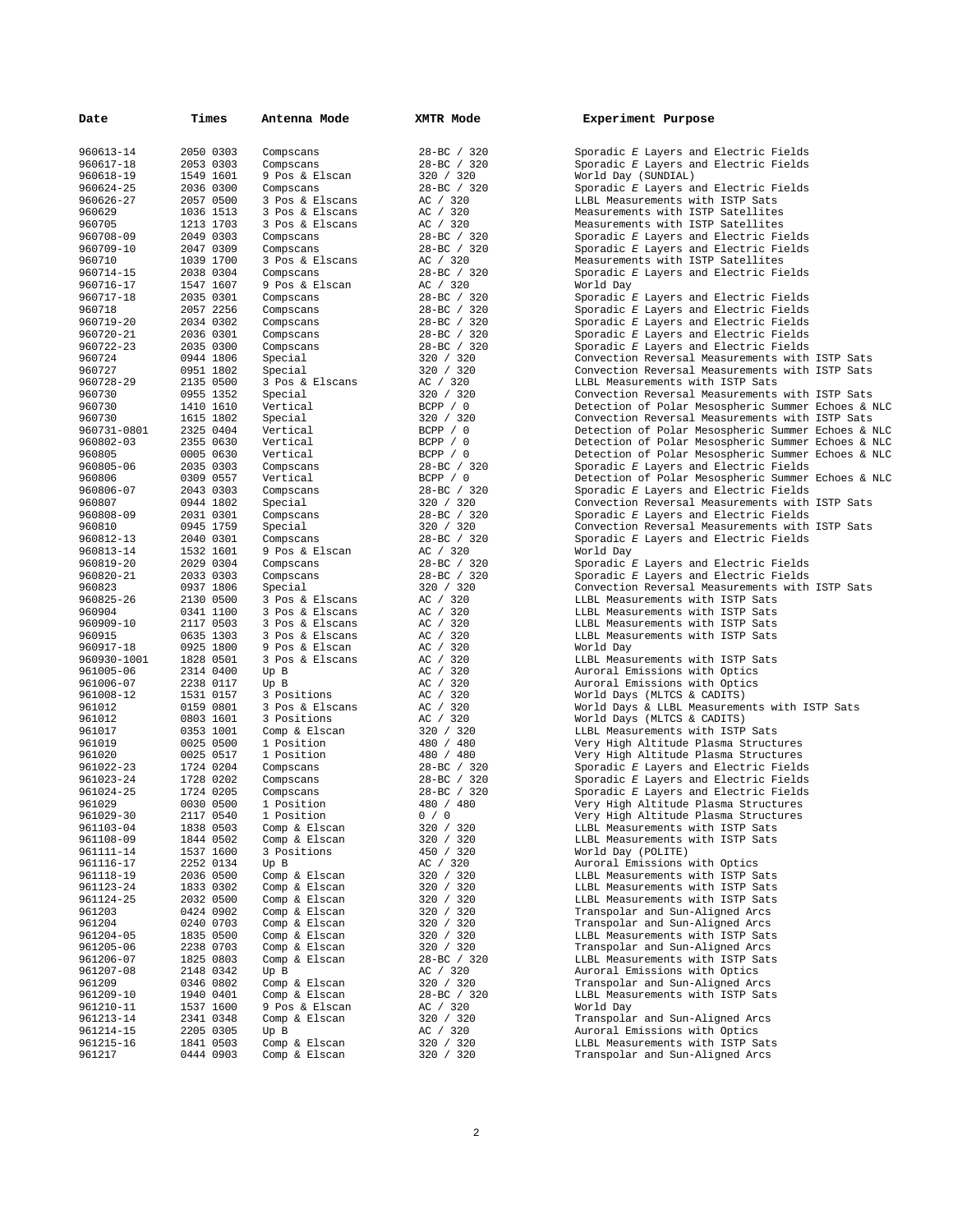| Date                     | Times                  | Antenna Mode                   | XMTR Mode               | Experiment Purpose                                                                                       |
|--------------------------|------------------------|--------------------------------|-------------------------|----------------------------------------------------------------------------------------------------------|
| 960613-14                | 2050 0303              | Compscans                      | 28-BC / 320             | Sporadic E Layers and Electric Fields                                                                    |
| 960617-18                | 2053 0303              | Compscans                      | 28-BC / 320             | Sporadic E Layers and Electric Fields                                                                    |
| 960618-19                | 1549 1601              | 9 Pos & Elscan                 | 320 / 320               | World Day (SUNDIAL)                                                                                      |
| 960624-25                | 2036 0300              | Compscans                      | 28-BC / 320             | Sporadic E Layers and Electric Fields                                                                    |
| 960626-27                | 2057 0500              | 3 Pos & Elscans                | AC / 320                | LLBL Measurements with ISTP Sats                                                                         |
| 960629                   | 1036 1513              | 3 Pos & Elscans                | AC / 320                | Measurements with ISTP Satellites                                                                        |
| 960705                   | 1213 1703              | 3 Pos & Elscans                | AC / 320                | Measurements with ISTP Satellites                                                                        |
| 960708-09                | 2049 0303              | Compscans                      | 28-BC / 320             | Sporadic E Layers and Electric Fields                                                                    |
| 960709-10<br>960710      | 2047 0309<br>1039 1700 | Compscans<br>3 Pos & Elscans   | 28-BC / 320<br>AC / 320 | Sporadic E Layers and Electric Fields<br>Measurements with ISTP Satellites                               |
| 960714-15                | 2038 0304              | Compscans                      | 28-BC / 320             | Sporadic E Layers and Electric Fields                                                                    |
| 960716-17                | 1547 1607              | 9 Pos & Elscan                 | AC / 320                | World Day                                                                                                |
| 960717-18                | 2035 0301              | Compscans                      | 28-BC / 320             | Sporadic E Layers and Electric Fields                                                                    |
| 960718                   | 2057 2256              | Compscans                      | 28-BC / 320             | Sporadic E Layers and Electric Fields                                                                    |
| 960719-20                | 2034 0302              | Compscans                      | 28-BC / 320             | Sporadic E Layers and Electric Fields                                                                    |
| 960720-21                | 2036 0301              | Compscans                      | 28-BC / 320             | Sporadic E Layers and Electric Fields                                                                    |
| 960722-23                | 2035 0300              | Compscans                      | 28-BC / 320             | Sporadic E Layers and Electric Fields                                                                    |
| 960724                   | 0944 1806              | Special                        | 320 / 320               | Convection Reversal Measurements with ISTP Sats                                                          |
| 960727                   | 0951 1802              | Special                        | 320 / 320               | Convection Reversal Measurements with ISTP Sats                                                          |
| 960728-29                | 2135 0500              | 3 Pos & Elscans                | AC / 320                | LLBL Measurements with ISTP Sats                                                                         |
| 960730                   | 0955 1352              | Special                        | 320 / 320               | Convection Reversal Measurements with ISTP Sats                                                          |
| 960730                   | 1410 1610              | Vertical                       | BCPP / 0                | Detection of Polar Mesospheric Summer Echoes & NLC                                                       |
| 960730                   | 1615 1802<br>2325 0404 | Special                        | 320 / 320               | Convection Reversal Measurements with ISTP Sats                                                          |
| 960731-0801<br>960802-03 | 2355 0630              | Vertical<br>Vertical           | BCPP / 0<br>BCPP / 0    | Detection of Polar Mesospheric Summer Echoes & NLC<br>Detection of Polar Mesospheric Summer Echoes & NLC |
| 960805                   | 0005 0630              | Vertical                       | BCPP / 0                | Detection of Polar Mesospheric Summer Echoes & NLC                                                       |
| 960805-06                | 2035 0303              | Compscans                      | 28-BC / 320             | Sporadic E Layers and Electric Fields                                                                    |
| 960806                   | 0309 0557              | Vertical                       | BCPP / 0                | Detection of Polar Mesospheric Summer Echoes & NLC                                                       |
| 960806-07                | 2043 0303              | Compscans                      | 28-BC / 320             | Sporadic E Layers and Electric Fields                                                                    |
| 960807                   | 0944 1802              | Special                        | 320 / 320               | Convection Reversal Measurements with ISTP Sats                                                          |
| 960808-09                | 2031 0301              | Compscans                      | 28-BC / 320             | Sporadic E Layers and Electric Fields                                                                    |
| 960810                   | 0945 1759              | Special                        | 320 / 320               | Convection Reversal Measurements with ISTP Sats                                                          |
| 960812-13                | 2040 0301              | Compscans                      | 28-BC / 320             | Sporadic E Layers and Electric Fields                                                                    |
| 960813-14                | 1532 1601              | 9 Pos & Elscan                 | AC / 320                | World Day                                                                                                |
| 960819-20                | 2029 0304              | Compscans                      | 28-BC / 320             | Sporadic E Layers and Electric Fields                                                                    |
| 960820-21                | 2033 0303              | Compscans                      | 28-BC / 320             | Sporadic E Layers and Electric Fields                                                                    |
| 960823<br>960825-26      | 0937 1806<br>2130 0500 | Special<br>3 Pos & Elscans     | 320 / 320<br>AC / 320   | Convection Reversal Measurements with ISTP Sats<br>LLBL Measurements with ISTP Sats                      |
| 960904                   | 0341 1100              | 3 Pos & Elscans                | AC / 320                | LLBL Measurements with ISTP Sats                                                                         |
| 960909-10                | 2117 0503              | 3 Pos & Elscans                | AC / 320                | LLBL Measurements with ISTP Sats                                                                         |
| 960915                   | 0635 1303              | 3 Pos & Elscans                | AC / 320                | LLBL Measurements with ISTP Sats                                                                         |
| 960917-18                | 0925 1800              | 9 Pos & Elscan                 | AC / 320                | World Day                                                                                                |
| 960930-1001              | 1828 0501              | 3 Pos & Elscans                | AC / 320                | LLBL Measurements with ISTP Sats                                                                         |
| 961005-06                | 2314 0400              | Up B                           | AC / 320                | Auroral Emissions with Optics                                                                            |
| 961006-07                | 2238 0117              | Up B                           | AC / 320                | Auroral Emissions with Optics                                                                            |
| 961008-12                | 1531 0157              | 3 Positions                    | AC / 320                | World Days (MLTCS & CADITS)                                                                              |
| 961012<br>961012         | 0159 0801<br>0803 1601 | 3 Pos & Elscans<br>3 Positions | AC / 320                | World Days & LLBL Measurements with ISTP Sats                                                            |
| 961017                   | 0353 1001              | Comp & Elscan                  | AC / 320<br>320 / 320   | World Days (MLTCS & CADITS)<br>LLBL Measurements with ISTP Sats                                          |
| 961019                   | 0025 0500              | 1 Position                     | 480 / 480               | Very High Altitude Plasma Structures                                                                     |
| 961020                   | 0025 0517              | 1 Position                     | 480 / 480               | Very High Altitude Plasma Structures                                                                     |
| 961022-23                | 1724 0204              | Compscans                      | $28 - BC$ / 320         | Sporadic E Layers and Electric Fields                                                                    |
| 961023-24                | 1728 0202              | Compscans                      | 28-BC / 320             | Sporadic E Layers and Electric Fields                                                                    |
| 961024-25                | 1724 0205              | Compscans                      | 28-BC / 320             | Sporadic E Layers and Electric Fields                                                                    |
| 961029                   | 0030 0500              | 1 Position                     | 480 / 480               | Very High Altitude Plasma Structures                                                                     |
| 961029-30                | 2117 0540              | 1 Position                     | 0 / 0                   | Very High Altitude Plasma Structures                                                                     |
| 961103-04                | 1838 0503              | Comp & Elscan                  | 320 / 320               | LLBL Measurements with ISTP Sats                                                                         |
| 961108-09                | 1844 0502              | Comp & Elscan                  | 320 / 320               | LLBL Measurements with ISTP Sats                                                                         |
| 961111-14                | 1537 1600<br>2252 0134 | 3 Positions                    | 450 / 320               | World Day (POLITE)<br>Auroral Emissions with Optics                                                      |
| 961116-17<br>961118-19   | 2036 0500              | Up B<br>Comp & Elscan          | AC / 320<br>320 / 320   | LLBL Measurements with ISTP Sats                                                                         |
| 961123-24                | 1833 0302              | Comp & Elscan                  | 320 / 320               | LLBL Measurements with ISTP Sats                                                                         |
| 961124-25                | 2032 0500              | Comp & Elscan                  | 320 / 320               | LLBL Measurements with ISTP Sats                                                                         |
| 961203                   | 0424 0902              | Comp & Elscan                  | 320 / 320               | Transpolar and Sun-Aligned Arcs                                                                          |
| 961204                   | 0240 0703              | Comp & Elscan                  | 320 / 320               | Transpolar and Sun-Aligned Arcs                                                                          |
| 961204-05                | 1835 0500              | Comp & Elscan                  | 320 / 320               | LLBL Measurements with ISTP Sats                                                                         |
| 961205-06                | 2238 0703              | Comp & Elscan                  | 320 / 320               | Transpolar and Sun-Aligned Arcs                                                                          |
| 961206-07                | 1825 0803              | Comp & Elscan                  | 28-BC / 320             | LLBL Measurements with ISTP Sats                                                                         |
| 961207-08                | 2148 0342              | Up B                           | AC / 320                | Auroral Emissions with Optics                                                                            |
| 961209                   | 0346 0802              | Comp & Elscan<br>Comp & Elscan | 320 / 320               | Transpolar and Sun-Aligned Arcs                                                                          |
| 961209-10<br>961210-11   | 1940 0401<br>1537 1600 | 9 Pos & Elscan                 | 28-BC / 320<br>AC / 320 | LLBL Measurements with ISTP Sats<br>World Day                                                            |
| 961213-14                | 2341 0348              | Comp & Elscan                  | 320 / 320               | Transpolar and Sun-Aligned Arcs                                                                          |
| 961214-15                | 2205 0305              | Up B                           | AC / 320                | Auroral Emissions with Optics                                                                            |
| 961215-16                | 1841 0503              | Comp & Elscan                  | 320 / 320               | LLBL Measurements with ISTP Sats                                                                         |
| 961217                   | 0444 0903              | Comp & Elscan                  | 320 / 320               | Transpolar and Sun-Aligned Arcs                                                                          |